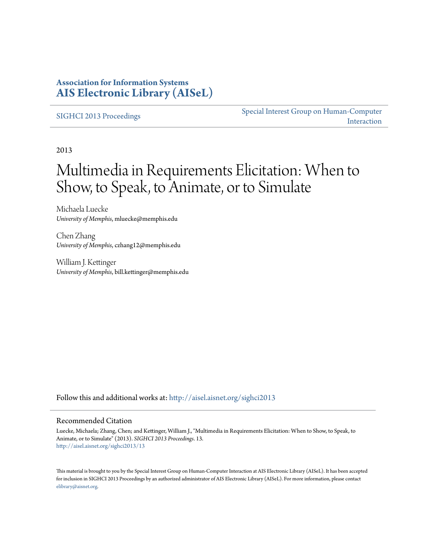### **Association for Information Systems [AIS Electronic Library \(AISeL\)](http://aisel.aisnet.org?utm_source=aisel.aisnet.org%2Fsighci2013%2F13&utm_medium=PDF&utm_campaign=PDFCoverPages)**

#### [SIGHCI 2013 Proceedings](http://aisel.aisnet.org/sighci2013?utm_source=aisel.aisnet.org%2Fsighci2013%2F13&utm_medium=PDF&utm_campaign=PDFCoverPages)

[Special Interest Group on Human-Computer](http://aisel.aisnet.org/sighci?utm_source=aisel.aisnet.org%2Fsighci2013%2F13&utm_medium=PDF&utm_campaign=PDFCoverPages) [Interaction](http://aisel.aisnet.org/sighci?utm_source=aisel.aisnet.org%2Fsighci2013%2F13&utm_medium=PDF&utm_campaign=PDFCoverPages)

2013

# Multimedia in Requirements Elicitation: When to Show, to Speak, to Animate, or to Simulate

Michaela Luecke *University of Memphis*, mluecke@memphis.edu

Chen Zhang *University of Memphis*, czhang12@memphis.edu

William J. Kettinger *University of Memphis*, bill.kettinger@memphis.edu

Follow this and additional works at: [http://aisel.aisnet.org/sighci2013](http://aisel.aisnet.org/sighci2013?utm_source=aisel.aisnet.org%2Fsighci2013%2F13&utm_medium=PDF&utm_campaign=PDFCoverPages)

#### Recommended Citation

Luecke, Michaela; Zhang, Chen; and Kettinger, William J., "Multimedia in Requirements Elicitation: When to Show, to Speak, to Animate, or to Simulate" (2013). *SIGHCI 2013 Proceedings*. 13. [http://aisel.aisnet.org/sighci2013/13](http://aisel.aisnet.org/sighci2013/13?utm_source=aisel.aisnet.org%2Fsighci2013%2F13&utm_medium=PDF&utm_campaign=PDFCoverPages)

This material is brought to you by the Special Interest Group on Human-Computer Interaction at AIS Electronic Library (AISeL). It has been accepted for inclusion in SIGHCI 2013 Proceedings by an authorized administrator of AIS Electronic Library (AISeL). For more information, please contact [elibrary@aisnet.org.](mailto:elibrary@aisnet.org%3E)